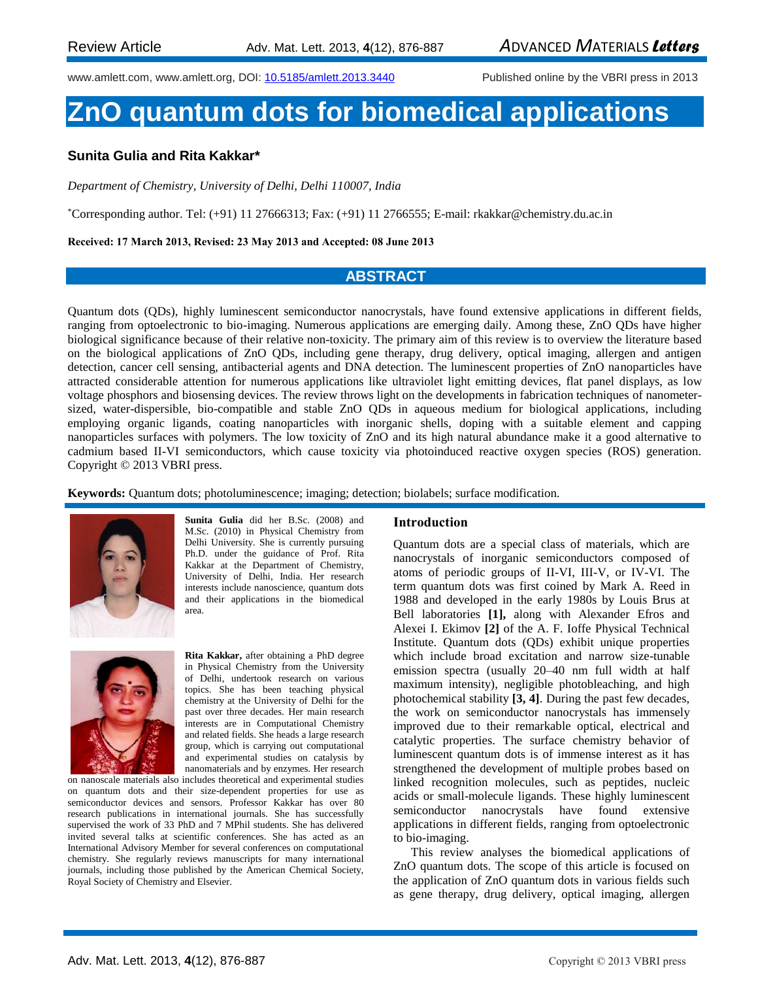www.amlett.com, www.amlett.org, DOI[: 10.5185/amlett.2013.3440](http://dx.doi.org/10.5185/amlett.2013.12001) Published online by the VBRI press in 2013

# **ZnO quantum dots for biomedical applications**

## **Sunita Gulia and Rita Kakkar\***

*Department of Chemistry, University of Delhi, Delhi 110007, India*

\*Corresponding author. Tel: (+91) 11 27666313; Fax: (+91) 11 2766555; E-mail: rkakkar@chemistry.du.ac.in

**Received: 17 March 2013, Revised: 23 May 2013 and Accepted: 08 June 2013**

#### **ABSTRACT**

Quantum dots (QDs), highly luminescent semiconductor nanocrystals, have found extensive applications in different fields, ranging from optoelectronic to bio-imaging. Numerous applications are emerging daily. Among these, ZnO QDs have higher biological significance because of their relative non-toxicity. The primary aim of this review is to overview the literature based on the biological applications of ZnO QDs, including gene therapy, drug delivery, optical imaging, allergen and antigen detection, cancer cell sensing, antibacterial agents and DNA detection. The luminescent properties of ZnO nanoparticles have attracted considerable attention for numerous applications like ultraviolet light emitting devices, flat panel displays, as low voltage phosphors and biosensing devices. The review throws light on the developments in fabrication techniques of nanometersized, water-dispersible, bio-compatible and stable ZnO QDs in aqueous medium for biological applications, including employing organic ligands, coating nanoparticles with inorganic shells, doping with a suitable element and capping nanoparticles surfaces with polymers. The low toxicity of ZnO and its high natural abundance make it a good alternative to cadmium based II-VI semiconductors, which cause toxicity via photoinduced reactive oxygen species (ROS) generation. Copyright © 2013 VBRI press.

**Keywords:** Quantum dots; photoluminescence; imaging; detection; biolabels; surface modification.



**Sunita Gulia** did her B.Sc. (2008) and M.Sc. (2010) in Physical Chemistry from Delhi University. She is currently pursuing Ph.D. under the guidance of Prof. Rita Kakkar at the Department of Chemistry, University of Delhi, India. Her research interests include nanoscience, quantum dots and their applications in the biomedical area.



**Rita Kakkar,** after obtaining a PhD degree in Physical Chemistry from the University of Delhi, undertook research on various topics. She has been teaching physical chemistry at the University of Delhi for the past over three decades. Her main research interests are in Computational Chemistry and related fields. She heads a large research group, which is carrying out computational and experimental studies on catalysis by nanomaterials and by enzymes. Her research

on nanoscale materials also includes theoretical and experimental studies on quantum dots and their size-dependent properties for use as semiconductor devices and sensors. Professor Kakkar has over 80 research publications in international journals. She has successfully supervised the work of 33 PhD and 7 MPhil students. She has delivered invited several talks at scientific conferences. She has acted as an International Advisory Member for several conferences on computational chemistry. She regularly reviews manuscripts for many international journals, including those published by the American Chemical Society, Royal Society of Chemistry and Elsevier.

#### **Introduction**

Quantum dots are a special class of materials, which are nanocrystals of inorganic semiconductors composed of atoms of periodic groups of II-VI, III-V, or IV-VI. The term quantum dots was first coined by Mark A. Reed in 1988 and developed in the early 1980s by Louis Brus at Bell laboratories **[1],** along with Alexander Efros and Alexei I. Ekimov **[2]** of the A. F. Ioffe Physical Technical Institute. Quantum dots (QDs) exhibit unique properties which include broad excitation and narrow size-tunable emission spectra (usually 20–40 nm full width at half maximum intensity), negligible photobleaching, and high photochemical stability **[3, 4]**. During the past few decades, the work on semiconductor nanocrystals has immensely improved due to their remarkable optical, electrical and catalytic properties. The surface chemistry behavior of luminescent quantum dots is of immense interest as it has strengthened the development of multiple probes based on linked recognition molecules, such as peptides, nucleic acids or small-molecule ligands. These highly luminescent semiconductor nanocrystals have found extensive applications in different fields, ranging from optoelectronic to bio-imaging.

This review analyses the biomedical applications of ZnO quantum dots. The scope of this article is focused on the application of ZnO quantum dots in various fields such as gene therapy, drug delivery, optical imaging, allergen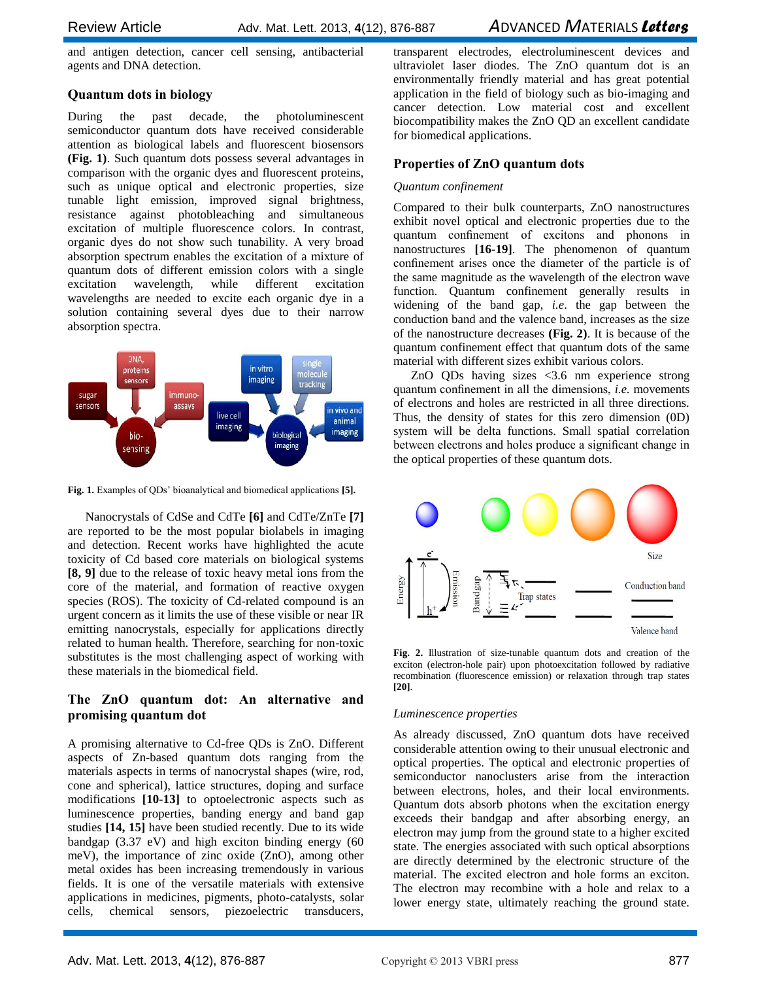and antigen detection, cancer cell sensing, antibacterial agents and DNA detection.

## **Quantum dots in biology**

During the past decade, the photoluminescent semiconductor quantum dots have received considerable attention as biological labels and fluorescent biosensors **(Fig. 1)**. Such quantum dots possess several advantages in comparison with the organic dyes and fluorescent proteins, such as unique optical and electronic properties, size tunable light emission, improved signal brightness, resistance against photobleaching and simultaneous excitation of multiple fluorescence colors. In contrast, organic dyes do not show such tunability. A very broad absorption spectrum enables the excitation of a mixture of quantum dots of different emission colors with a single excitation wavelength, while different excitation wavelengths are needed to excite each organic dye in a solution containing several dyes due to their narrow absorption spectra.



**Fig. 1.** Examples of QDs' bioanalytical and biomedical applications **[5].**

Nanocrystals of CdSe and CdTe **[6]** and CdTe/ZnTe **[7]** are reported to be the most popular biolabels in imaging and detection. Recent works have highlighted the acute toxicity of Cd based core materials on biological systems **[8, 9]** due to the release of toxic heavy metal ions from the core of the material, and formation of reactive oxygen species (ROS). The toxicity of Cd-related compound is an urgent concern as it limits the use of these visible or near IR emitting nanocrystals, especially for applications directly related to human health. Therefore, searching for non-toxic substitutes is the most challenging aspect of working with these materials in the biomedical field.

## **The ZnO quantum dot: An alternative and promising quantum dot**

A promising alternative to Cd-free QDs is ZnO. Different aspects of Zn-based quantum dots ranging from the materials aspects in terms of nanocrystal shapes (wire, rod, cone and spherical), lattice structures, doping and surface modifications **[10-13]** to optoelectronic aspects such as luminescence properties, banding energy and band gap studies **[14, 15]** have been studied recently. Due to its wide bandgap (3.37 eV) and high exciton binding energy (60 meV), the importance of zinc oxide (ZnO), among other metal oxides has been increasing tremendously in various fields. It is one of the versatile materials with extensive applications in medicines, pigments, photo-catalysts, solar cells, chemical sensors, piezoelectric transducers,

transparent electrodes, electroluminescent devices and ultraviolet laser diodes. The ZnO quantum dot is an environmentally friendly material and has great potential application in the field of biology such as bio-imaging and cancer detection. Low material cost and excellent biocompatibility makes the ZnO QD an excellent candidate for biomedical applications.

## **Properties of ZnO quantum dots**

## *Quantum confinement*

Compared to their bulk counterparts, ZnO nanostructures exhibit novel optical and electronic properties due to the quantum confinement of excitons and phonons in nanostructures **[16-19]**. The phenomenon of quantum confinement arises once the diameter of the particle is of the same magnitude as the wavelength of the electron wave function. Quantum confinement generally results in widening of the band gap, *i.e*. the gap between the conduction band and the valence band, increases as the size of the nanostructure decreases **(Fig. 2)**. It is because of the quantum confinement effect that quantum dots of the same material with different sizes exhibit various colors.

ZnO QDs having sizes <3.6 nm experience strong quantum confinement in all the dimensions, *i.e.* movements of electrons and holes are restricted in all three directions. Thus, the density of states for this zero dimension (0D) system will be delta functions. Small spatial correlation between electrons and holes produce a significant change in the optical properties of these quantum dots.



**Fig. 2.** Illustration of size-tunable quantum dots and creation of the exciton (electron-hole pair) upon photoexcitation followed by radiative recombination (fluorescence emission) or relaxation through trap states **[20]**.

## *Luminescence properties*

As already discussed, ZnO quantum dots have received considerable attention owing to their unusual electronic and optical properties. The optical and electronic properties of semiconductor nanoclusters arise from the interaction between electrons, holes, and their local environments. Quantum dots absorb photons when the excitation energy exceeds their bandgap and after absorbing energy, an electron may jump from the ground state to a higher excited state. The energies associated with such optical absorptions are directly determined by the electronic structure of the material. The excited electron and hole forms an exciton. The electron may recombine with a hole and relax to a lower energy state, ultimately reaching the ground state.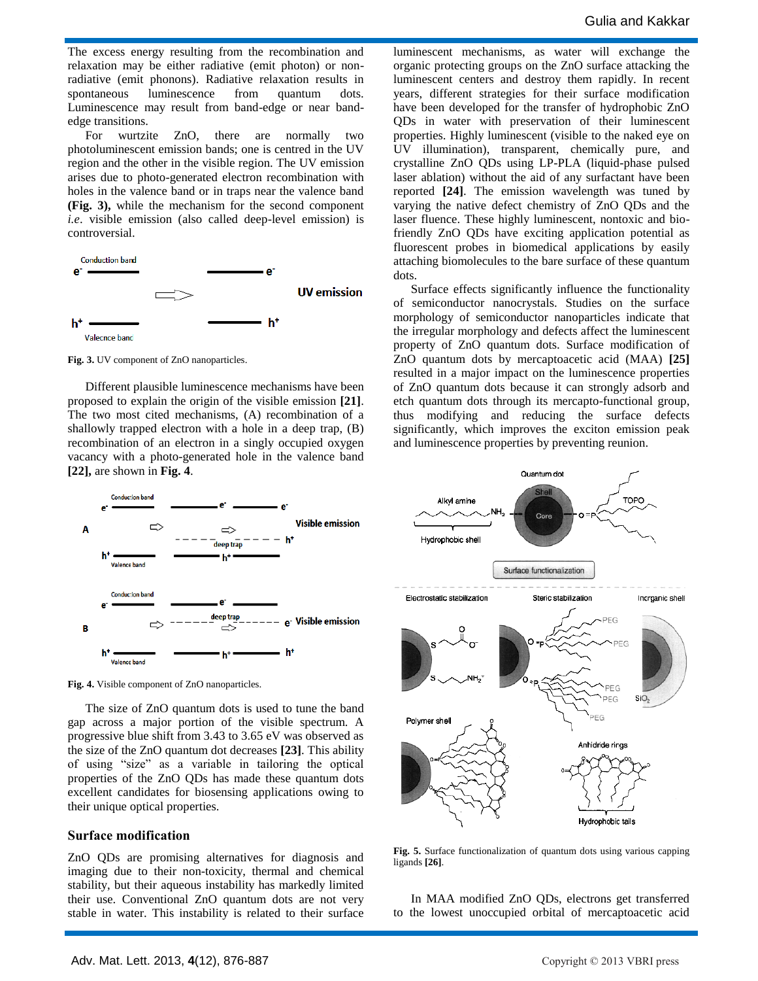The excess energy resulting from the recombination and relaxation may be either radiative (emit photon) or nonradiative (emit phonons). Radiative relaxation results in spontaneous luminescence from quantum dots. Luminescence may result from band-edge or near bandedge transitions.

For wurtzite ZnO, there are normally two photoluminescent emission bands; one is centred in the UV region and the other in the visible region. The UV emission arises due to photo-generated electron recombination with holes in the valence band or in traps near the valence band **(Fig. 3),** while the mechanism for the second component *i.e*. visible emission (also called deep-level emission) is controversial.



**Fig. 3.** UV component of ZnO nanoparticles.

Different plausible luminescence mechanisms have been proposed to explain the origin of the visible emission **[21]**. The two most cited mechanisms, (A) recombination of a shallowly trapped electron with a hole in a deep trap, (B) recombination of an electron in a singly occupied oxygen vacancy with a photo-generated hole in the valence band **[22],** are shown in **Fig. 4**.



**Fig. 4.** Visible component of ZnO nanoparticles.

The size of ZnO quantum dots is used to tune the band gap across a major portion of the visible spectrum. A progressive blue shift from 3.43 to 3.65 eV was observed as the size of the ZnO quantum dot decreases **[23]**. This ability of using "size" as a variable in tailoring the optical properties of the ZnO QDs has made these quantum dots excellent candidates for biosensing applications owing to their unique optical properties.

#### **Surface modification**

ZnO QDs are promising alternatives for diagnosis and imaging due to their non-toxicity, thermal and chemical stability, but their aqueous instability has markedly limited their use. Conventional ZnO quantum dots are not very stable in water. This instability is related to their surface luminescent mechanisms, as water will exchange the organic protecting groups on the ZnO surface attacking the luminescent centers and destroy them rapidly. In recent years, different strategies for their surface modification have been developed for the transfer of hydrophobic ZnO QDs in water with preservation of their luminescent properties. Highly luminescent (visible to the naked eye on UV illumination), transparent, chemically pure, and crystalline ZnO QDs using LP-PLA (liquid-phase pulsed laser ablation) without the aid of any surfactant have been reported **[24]**. The emission wavelength was tuned by varying the native defect chemistry of ZnO QDs and the laser fluence. These highly luminescent, nontoxic and biofriendly ZnO QDs have exciting application potential as fluorescent probes in biomedical applications by easily attaching biomolecules to the bare surface of these quantum dots.

Surface effects significantly influence the functionality of semiconductor nanocrystals. Studies on the surface morphology of semiconductor nanoparticles indicate that the irregular morphology and defects affect the luminescent property of ZnO quantum dots. Surface modification of ZnO quantum dots by mercaptoacetic acid (MAA) **[25]** resulted in a major impact on the luminescence properties of ZnO quantum dots because it can strongly adsorb and etch quantum dots through its mercapto-functional group, thus modifying and reducing the surface defects significantly, which improves the exciton emission peak and luminescence properties by preventing reunion.



**Fig. 5.** Surface functionalization of quantum dots using various capping ligands **[26]**.

In MAA modified ZnO QDs, electrons get transferred to the lowest unoccupied orbital of mercaptoacetic acid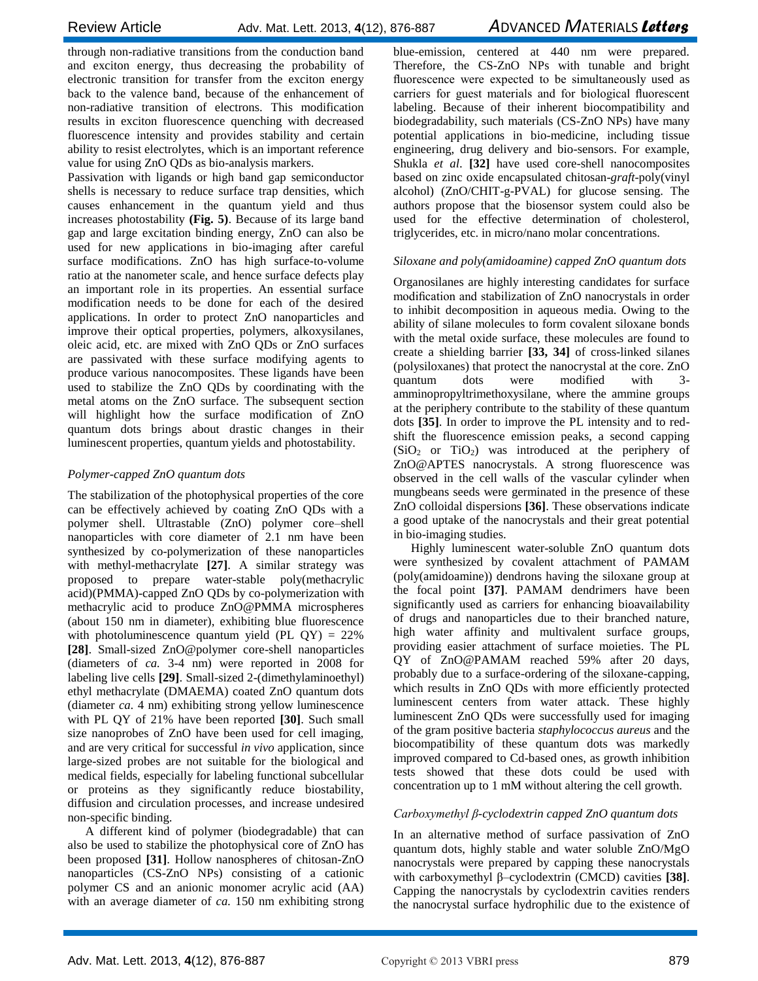through non-radiative transitions from the conduction band and exciton energy, thus decreasing the probability of electronic transition for transfer from the exciton energy back to the valence band, because of the enhancement of non-radiative transition of electrons. This modification results in exciton fluorescence quenching with decreased fluorescence intensity and provides stability and certain ability to resist electrolytes, which is an important reference value for using ZnO QDs as bio-analysis markers.

Passivation with ligands or high band gap semiconductor shells is necessary to reduce surface trap densities, which causes enhancement in the quantum yield and thus increases photostability **(Fig. 5)**. Because of its large band gap and large excitation binding energy, ZnO can also be used for new applications in bio-imaging after careful surface modifications. ZnO has high surface-to-volume ratio at the nanometer scale, and hence surface defects play an important role in its properties. An essential surface modification needs to be done for each of the desired applications. In order to protect ZnO nanoparticles and improve their optical properties, polymers, alkoxysilanes, oleic acid, etc. are mixed with ZnO QDs or ZnO surfaces are passivated with these surface modifying agents to produce various nanocomposites. These ligands have been used to stabilize the ZnO QDs by coordinating with the metal atoms on the ZnO surface. The subsequent section will highlight how the surface modification of ZnO quantum dots brings about drastic changes in their luminescent properties, quantum yields and photostability.

## *Polymer-capped ZnO quantum dots*

The stabilization of the photophysical properties of the core can be effectively achieved by coating ZnO QDs with a polymer shell. Ultrastable (ZnO) polymer core–shell nanoparticles with core diameter of 2.1 nm have been synthesized by co-polymerization of these nanoparticles with methyl-methacrylate **[27]**. A similar strategy was proposed to prepare water-stable poly(methacrylic acid)(PMMA)-capped ZnO QDs by co-polymerization with methacrylic acid to produce ZnO@PMMA microspheres (about 150 nm in diameter), exhibiting blue fluorescence with photoluminescence quantum yield (PL  $QY$ ) = 22% **[28]**. Small-sized ZnO@polymer core-shell nanoparticles (diameters of *ca.* 3-4 nm) were reported in 2008 for labeling live cells **[29]**. Small-sized 2-(dimethylaminoethyl) ethyl methacrylate (DMAEMA) coated ZnO quantum dots (diameter *ca.* 4 nm) exhibiting strong yellow luminescence with PL QY of 21% have been reported **[30]**. Such small size nanoprobes of ZnO have been used for cell imaging, and are very critical for successful *in vivo* application, since large-sized probes are not suitable for the biological and medical fields, especially for labeling functional subcellular or proteins as they significantly reduce biostability, diffusion and circulation processes, and increase undesired non-specific binding.

A different kind of polymer (biodegradable) that can also be used to stabilize the photophysical core of ZnO has been proposed **[31]**. Hollow nanospheres of chitosan-ZnO nanoparticles (CS-ZnO NPs) consisting of a cationic polymer CS and an anionic monomer acrylic acid (AA) with an average diameter of *ca.* 150 nm exhibiting strong

blue-emission, centered at 440 nm were prepared. Therefore, the CS-ZnO NPs with tunable and bright fluorescence were expected to be simultaneously used as carriers for guest materials and for biological fluorescent labeling. Because of their inherent biocompatibility and biodegradability, such materials (CS-ZnO NPs) have many potential applications in bio-medicine, including tissue engineering, drug delivery and bio-sensors. For example, Shukla *et al*. **[32]** have used core-shell nanocomposites based on zinc oxide encapsulated chitosan-*graft*-poly(vinyl alcohol) (ZnO/CHIT-g-PVAL) for glucose sensing. The authors propose that the biosensor system could also be used for the effective determination of cholesterol, triglycerides, etc. in micro/nano molar concentrations.

## *Siloxane and poly(amidoamine) capped ZnO quantum dots*

Organosilanes are highly interesting candidates for surface modification and stabilization of ZnO nanocrystals in order to inhibit decomposition in aqueous media. Owing to the ability of silane molecules to form covalent siloxane bonds with the metal oxide surface, these molecules are found to create a shielding barrier **[33, 34]** of cross-linked silanes (polysiloxanes) that protect the nanocrystal at the core. ZnO quantum dots were modified with 3 amminopropyltrimethoxysilane, where the ammine groups at the periphery contribute to the stability of these quantum dots **[35]**. In order to improve the PL intensity and to redshift the fluorescence emission peaks, a second capping  $(SiO<sub>2</sub>$  or TiO<sub>2</sub>) was introduced at the periphery of ZnO@APTES nanocrystals. A strong fluorescence was observed in the cell walls of the vascular cylinder when mungbeans seeds were germinated in the presence of these ZnO colloidal dispersions **[36]**. These observations indicate a good uptake of the nanocrystals and their great potential in bio-imaging studies.

Highly luminescent water-soluble ZnO quantum dots were synthesized by covalent attachment of PAMAM (poly(amidoamine)) dendrons having the siloxane group at the focal point **[37]**. PAMAM dendrimers have been significantly used as carriers for enhancing bioavailability of drugs and nanoparticles due to their branched nature, high water affinity and multivalent surface groups, providing easier attachment of surface moieties. The PL QY of ZnO@PAMAM reached 59% after 20 days, probably due to a surface-ordering of the siloxane-capping, which results in ZnO QDs with more efficiently protected luminescent centers from water attack. These highly luminescent ZnO QDs were successfully used for imaging of the gram positive bacteria *staphylococcus aureus* and the biocompatibility of these quantum dots was markedly improved compared to Cd-based ones, as growth inhibition tests showed that these dots could be used with concentration up to 1 mM without altering the cell growth.

## *Carboxymethyl β-cyclodextrin capped ZnO quantum dots*

In an alternative method of surface passivation of ZnO quantum dots, highly stable and water soluble ZnO/MgO nanocrystals were prepared by capping these nanocrystals with carboxymethyl β–cyclodextrin (CMCD) cavities **[38]**. Capping the nanocrystals by cyclodextrin cavities renders the nanocrystal surface hydrophilic due to the existence of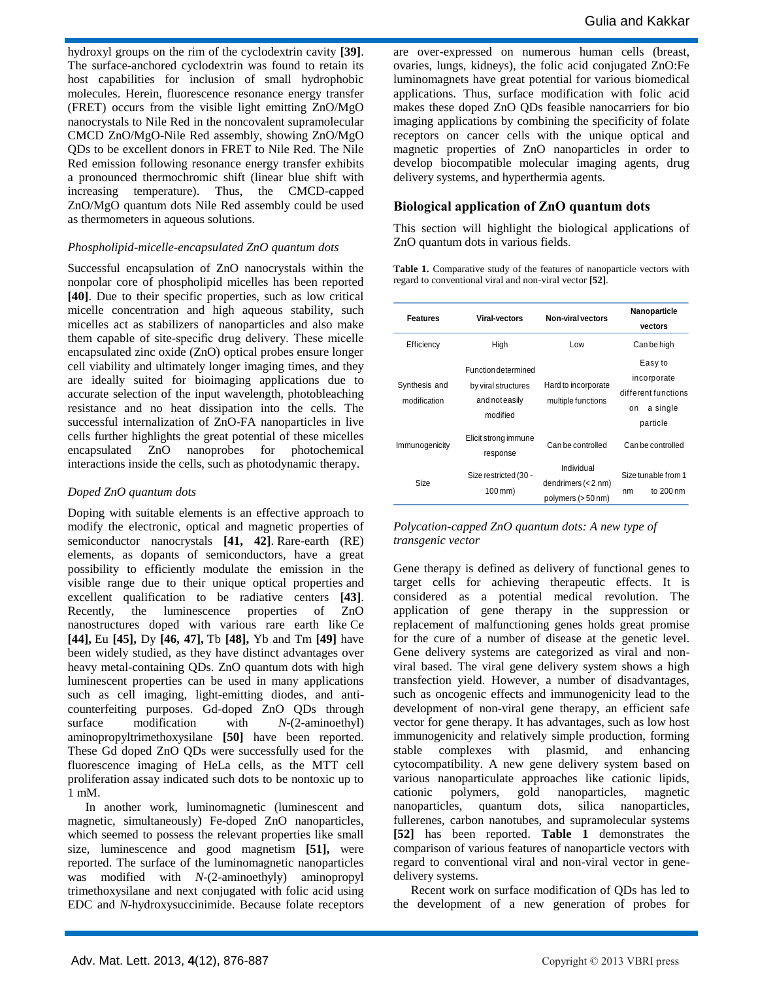hydroxyl groups on the rim of the cyclodextrin cavity **[39]**. The surface-anchored cyclodextrin was found to retain its host capabilities for inclusion of small hydrophobic molecules. Herein, fluorescence resonance energy transfer (FRET) occurs from the visible light emitting ZnO/MgO nanocrystals to Nile Red in the noncovalent supramolecular CMCD ZnO/MgO-Nile Red assembly, showing ZnO/MgO QDs to be excellent donors in FRET to Nile Red. The Nile Red emission following resonance energy transfer exhibits a pronounced thermochromic shift (linear blue shift with increasing temperature). Thus, the CMCD-capped ZnO/MgO quantum dots Nile Red assembly could be used as thermometers in aqueous solutions.

#### *Phospholipid-micelle-encapsulated ZnO quantum dots*

Successful encapsulation of ZnO nanocrystals within the nonpolar core of phospholipid micelles has been reported **[40]**. Due to their specific properties, such as low critical micelle concentration and high aqueous stability, such micelles act as stabilizers of nanoparticles and also make them capable of site-specific drug delivery. These micelle encapsulated zinc oxide (ZnO) optical probes ensure longer cell viability and ultimately longer imaging times, and they are ideally suited for bioimaging applications due to accurate selection of the input wavelength, photobleaching resistance and no heat dissipation into the cells. The successful internalization of ZnO-FA nanoparticles in live cells further highlights the great potential of these micelles encapsulated ZnO nanoprobes for photochemical interactions inside the cells, such as photodynamic therapy.

#### *Doped ZnO quantum dots*

Doping with suitable elements is an effective approach to modify the electronic, optical and magnetic properties of semiconductor nanocrystals **[41, 42]**. Rare-earth (RE) elements, as dopants of semiconductors, have a great possibility to efficiently modulate the emission in the visible range due to their unique optical properties and excellent qualification to be radiative centers **[43]**. Recently, the luminescence properties of ZnO nanostructures doped with various rare earth like Ce **[44],** Eu **[45],** Dy **[46, 47],** Tb **[48],** Yb and Tm **[49]** have been widely studied, as they have distinct advantages over heavy metal-containing QDs. ZnO quantum dots with high luminescent properties can be used in many applications such as cell imaging, light-emitting diodes, and anticounterfeiting purposes. Gd-doped ZnO QDs through surface modification with *N*-(2-aminoethyl) aminopropyltrimethoxysilane **[50]** have been reported. These Gd doped ZnO QDs were successfully used for the fluorescence imaging of HeLa cells, as the MTT cell proliferation assay indicated such dots to be nontoxic up to 1 mM.

In another work, luminomagnetic (luminescent and magnetic, simultaneously) Fe-doped ZnO nanoparticles, which seemed to possess the relevant properties like small size, luminescence and good magnetism **[51],** were reported. The surface of the luminomagnetic nanoparticles was modified with *N*-(2-aminoethyly) aminopropyl trimethoxysilane and next conjugated with folic acid using EDC and *N*-hydroxysuccinimide. Because folate receptors

are over-expressed on numerous human cells (breast, ovaries, lungs, kidneys), the folic acid conjugated ZnO:Fe luminomagnets have great potential for various biomedical applications. Thus, surface modification with folic acid makes these doped ZnO QDs feasible nanocarriers for bio imaging applications by combining the specificity of folate receptors on cancer cells with the unique optical and magnetic properties of ZnO nanoparticles in order to develop biocompatible molecular imaging agents, drug delivery systems, and hyperthermia agents.

#### **Biological application of ZnO quantum dots**

This section will highlight the biological applications of ZnO quantum dots in various fields.

Table 1. Comparative study of the features of nanoparticle vectors with regard to conventional viral and non-viral vector **[52]**.

| <b>Features</b>               | <b>Viral-vectors</b>                                                            | <b>Non-viral vectors</b>                                  | Nanoparticle                                                                |
|-------------------------------|---------------------------------------------------------------------------------|-----------------------------------------------------------|-----------------------------------------------------------------------------|
|                               |                                                                                 |                                                           | vectors                                                                     |
| Efficiency                    | High                                                                            | Low                                                       | Can be high                                                                 |
| Synthesis and<br>modification | <b>Function determined</b><br>by viral structures<br>and not easily<br>modified | Hard to incorporate<br>multiple functions                 | Easy to<br>incorporate<br>different functions<br>a single<br>on<br>particle |
| Immunogenicity                | Elicit strong immune<br>response                                                | Can be controlled                                         | Can be controlled                                                           |
| Size                          | Size restricted (30 -<br>100 mm)                                                | Individual<br>dendrimers $(< 2$ nm)<br>polymers (> 50 nm) | Size tunable from 1<br>to $200 \text{ nm}$<br>nm                            |

*Polycation-capped ZnO quantum dots: A new type of transgenic vector*

Gene therapy is defined as delivery of functional genes to target cells for achieving therapeutic effects. It is considered as a potential medical revolution. The application of gene therapy in the suppression or replacement of malfunctioning genes holds great promise for the cure of a number of disease at the genetic level. Gene delivery systems are categorized as viral and nonviral based. The viral gene delivery system shows a high transfection yield. However, a number of disadvantages, such as oncogenic effects and immunogenicity lead to the development of non-viral gene therapy, an efficient safe vector for gene therapy. It has advantages, such as low host immunogenicity and relatively simple production, forming stable complexes with plasmid, and enhancing cytocompatibility. A new gene delivery system based on various nanoparticulate approaches like cationic lipids, cationic polymers, gold nanoparticles, magnetic nanoparticles, quantum dots, silica nanoparticles, fullerenes, carbon nanotubes, and supramolecular systems **[52]** has been reported. **Table 1** demonstrates the comparison of various features of nanoparticle vectors with regard to conventional viral and non-viral vector in genedelivery systems.

Recent work on surface modification of QDs has led to the development of a new generation of probes for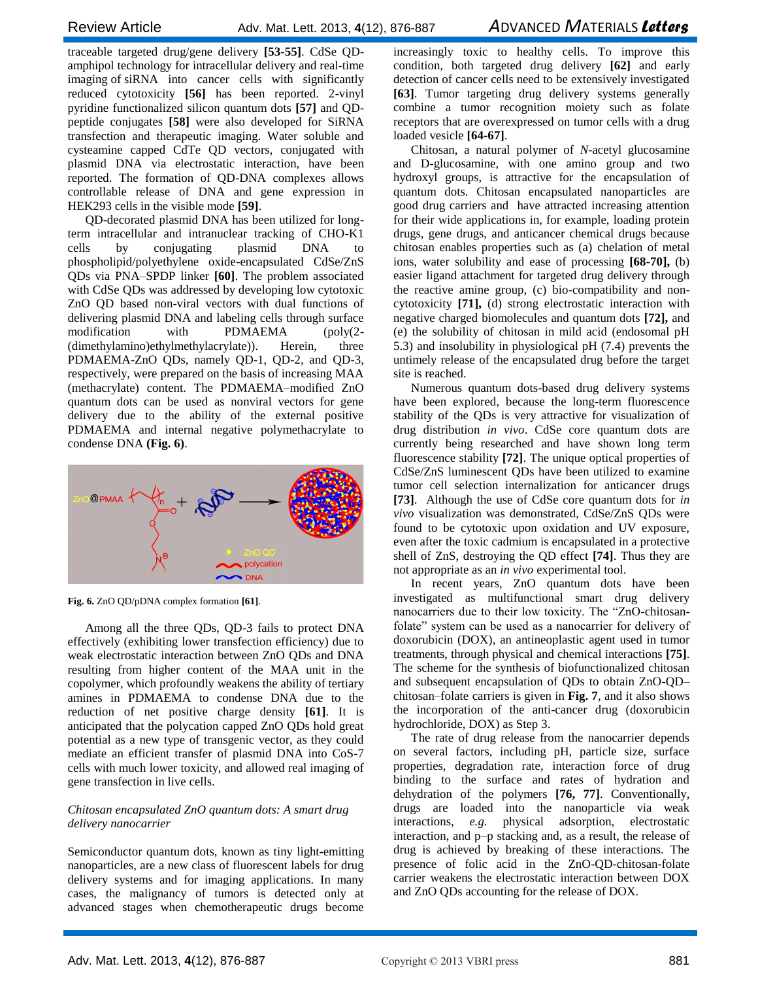traceable targeted drug/gene delivery **[53-55]**. CdSe QDamphipol technology for intracellular delivery and real-time imaging of siRNA into cancer cells with significantly reduced cytotoxicity **[56]** has been reported. 2-vinyl pyridine functionalized silicon quantum dots **[57]** and QDpeptide conjugates **[58]** were also developed for SiRNA transfection and therapeutic imaging. Water soluble and cysteamine capped CdTe QD vectors, conjugated with plasmid DNA via electrostatic interaction, have been reported. The formation of QD-DNA complexes allows controllable release of DNA and gene expression in HEK293 cells in the visible mode **[59]**.

QD-decorated plasmid DNA has been utilized for longterm intracellular and intranuclear tracking of CHO-K1 cells by conjugating plasmid DNA to phospholipid/polyethylene oxide-encapsulated CdSe/ZnS QDs via PNA–SPDP linker **[60]**. The problem associated with CdSe QDs was addressed by developing low cytotoxic ZnO QD based non-viral vectors with dual functions of delivering plasmid DNA and labeling cells through surface modification with PDMAEMA (poly(2- (dimethylamino)ethylmethylacrylate)). Herein, three PDMAEMA-ZnO QDs, namely QD-1, QD-2, and QD-3, respectively, were prepared on the basis of increasing MAA (methacrylate) content. The PDMAEMA–modified ZnO quantum dots can be used as nonviral vectors for gene delivery due to the ability of the external positive PDMAEMA and internal negative polymethacrylate to condense DNA **(Fig. 6)**.



**Fig. 6.** ZnO QD/pDNA complex formation **[61]**.

Among all the three QDs, QD-3 fails to protect DNA effectively (exhibiting lower transfection efficiency) due to weak electrostatic interaction between ZnO QDs and DNA resulting from higher content of the MAA unit in the copolymer, which profoundly weakens the ability of tertiary amines in PDMAEMA to condense DNA due to the reduction of net positive charge density **[61]**. It is anticipated that the polycation capped ZnO QDs hold great potential as a new type of transgenic vector, as they could mediate an efficient transfer of plasmid DNA into CoS-7 cells with much lower toxicity, and allowed real imaging of gene transfection in live cells.

#### *Chitosan encapsulated ZnO quantum dots: A smart drug delivery nanocarrier*

Semiconductor quantum dots, known as tiny light-emitting nanoparticles, are a new class of fluorescent labels for drug delivery systems and for imaging applications. In many cases, the malignancy of tumors is detected only at advanced stages when chemotherapeutic drugs become

increasingly toxic to healthy cells. To improve this condition, both targeted drug delivery **[62]** and early detection of cancer cells need to be extensively investigated **[63]**. Tumor targeting drug delivery systems generally combine a tumor recognition moiety such as folate receptors that are overexpressed on tumor cells with a drug loaded vesicle **[64-67]**.

Chitosan, a natural polymer of *N*-acetyl glucosamine and D-glucosamine, with one amino group and two hydroxyl groups, is attractive for the encapsulation of quantum dots. Chitosan encapsulated nanoparticles are good drug carriers and have attracted increasing attention for their wide applications in, for example, loading protein drugs, gene drugs, and anticancer chemical drugs because chitosan enables properties such as (a) chelation of metal ions, water solubility and ease of processing **[68-70],** (b) easier ligand attachment for targeted drug delivery through the reactive amine group, (c) bio-compatibility and noncytotoxicity **[71],** (d) strong electrostatic interaction with negative charged biomolecules and quantum dots **[72],** and (e) the solubility of chitosan in mild acid (endosomal pH 5.3) and insolubility in physiological pH (7.4) prevents the untimely release of the encapsulated drug before the target site is reached.

Numerous quantum dots-based drug delivery systems have been explored, because the long-term fluorescence stability of the QDs is very attractive for visualization of drug distribution *in vivo*. CdSe core quantum dots are currently being researched and have shown long term fluorescence stability **[72]**. The unique optical properties of CdSe/ZnS luminescent QDs have been utilized to examine tumor cell selection internalization for anticancer drugs **[73]**. Although the use of CdSe core quantum dots for *in vivo* visualization was demonstrated, CdSe/ZnS QDs were found to be cytotoxic upon oxidation and UV exposure, even after the toxic cadmium is encapsulated in a protective shell of ZnS, destroying the QD effect **[74]**. Thus they are not appropriate as an *in vivo* experimental tool.

In recent years, ZnO quantum dots have been investigated as multifunctional smart drug delivery nanocarriers due to their low toxicity. The "ZnO-chitosanfolate" system can be used as a nanocarrier for delivery of doxorubicin (DOX), an antineoplastic agent used in tumor treatments, through physical and chemical interactions **[75]**. The scheme for the synthesis of biofunctionalized chitosan and subsequent encapsulation of QDs to obtain ZnO-QD– chitosan–folate carriers is given in **Fig. 7**, and it also shows the incorporation of the anti-cancer drug (doxorubicin hydrochloride, DOX) as Step 3.

The rate of drug release from the nanocarrier depends on several factors, including pH, particle size, surface properties, degradation rate, interaction force of drug binding to the surface and rates of hydration and dehydration of the polymers **[76, 77]**. Conventionally, drugs are loaded into the nanoparticle via weak interactions, *e.g.* physical adsorption, electrostatic interaction, and p–p stacking and, as a result, the release of drug is achieved by breaking of these interactions. The presence of folic acid in the ZnO-QD-chitosan-folate carrier weakens the electrostatic interaction between DOX and ZnO QDs accounting for the release of DOX.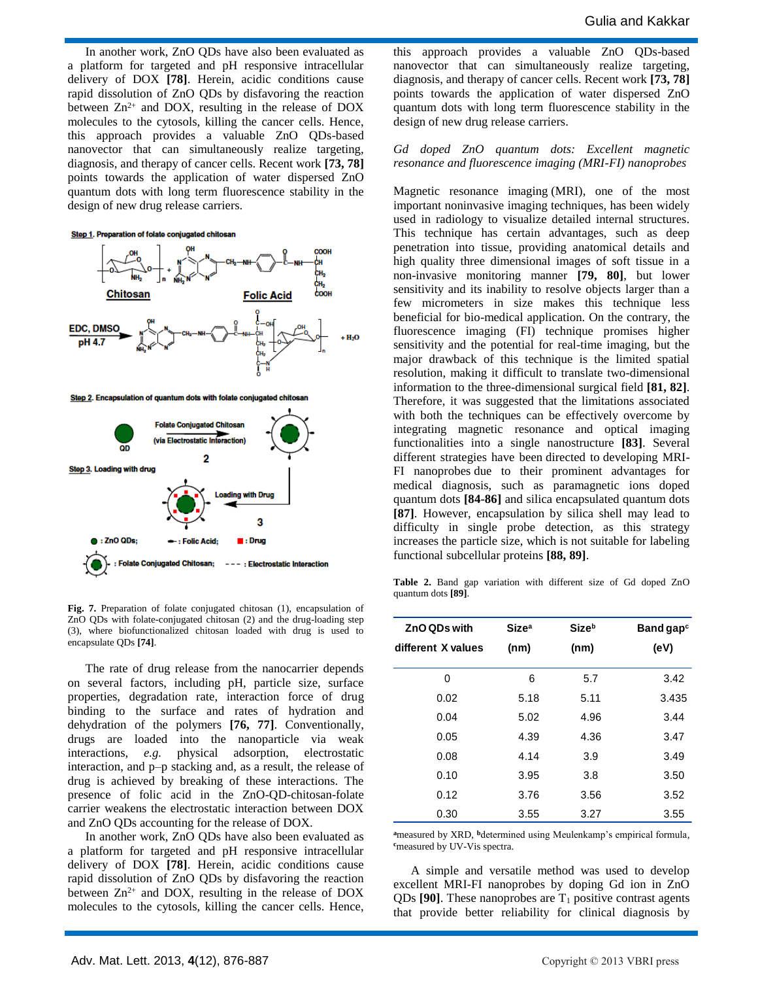In another work, ZnO QDs have also been evaluated as a platform for targeted and pH responsive intracellular delivery of DOX **[78]**. Herein, acidic conditions cause rapid dissolution of ZnO QDs by disfavoring the reaction between  $Zn^{2+}$  and DOX, resulting in the release of DOX molecules to the cytosols, killing the cancer cells. Hence, this approach provides a valuable ZnO QDs-based nanovector that can simultaneously realize targeting, diagnosis, and therapy of cancer cells. Recent work **[73, 78]**  points towards the application of water dispersed ZnO quantum dots with long term fluorescence stability in the design of new drug release carriers.





**Fig. 7.** Preparation of folate conjugated chitosan (1), encapsulation of ZnO QDs with folate-conjugated chitosan (2) and the drug-loading step (3), where biofunctionalized chitosan loaded with drug is used to encapsulate QDs **[74]**.

The rate of drug release from the nanocarrier depends on several factors, including pH, particle size, surface properties, degradation rate, interaction force of drug binding to the surface and rates of hydration and dehydration of the polymers **[76, 77]**. Conventionally, drugs are loaded into the nanoparticle via weak interactions, *e.g.* physical adsorption, electrostatic interaction, and p–p stacking and, as a result, the release of drug is achieved by breaking of these interactions. The presence of folic acid in the ZnO-QD-chitosan-folate carrier weakens the electrostatic interaction between DOX and ZnO QDs accounting for the release of DOX.

In another work, ZnO QDs have also been evaluated as a platform for targeted and pH responsive intracellular delivery of DOX **[78]**. Herein, acidic conditions cause rapid dissolution of ZnO QDs by disfavoring the reaction between  $Zn^{2+}$  and DOX, resulting in the release of DOX molecules to the cytosols, killing the cancer cells. Hence,

this approach provides a valuable ZnO QDs-based nanovector that can simultaneously realize targeting, diagnosis, and therapy of cancer cells. Recent work **[73, 78]**  points towards the application of water dispersed ZnO quantum dots with long term fluorescence stability in the design of new drug release carriers.

#### *Gd doped ZnO quantum dots: Excellent magnetic resonance and fluorescence imaging (MRI-FI) nanoprobes*

Magnetic resonance imaging (MRI), one of the most important noninvasive imaging techniques, has been widely used in radiology to visualize detailed internal structures. This technique has certain advantages, such as deep penetration into tissue, providing anatomical details and high quality three dimensional images of soft tissue in a non-invasive monitoring manner **[79, 80]**, but lower sensitivity and its inability to resolve objects larger than a few micrometers in size makes this technique less beneficial for bio-medical application. On the contrary, the fluorescence imaging (FI) technique promises higher sensitivity and the potential for real-time imaging, but the major drawback of this technique is the limited spatial resolution, making it difficult to translate two-dimensional information to the three-dimensional surgical field **[81, 82]**. Therefore, it was suggested that the limitations associated with both the techniques can be effectively overcome by integrating magnetic resonance and optical imaging functionalities into a single nanostructure **[83]**. Several different strategies have been directed to developing MRI-FI nanoprobes due to their prominent advantages for medical diagnosis, such as paramagnetic ions doped quantum dots **[84-86]** and silica encapsulated quantum dots **[87]**. However, encapsulation by silica shell may lead to difficulty in single probe detection, as this strategy increases the particle size, which is not suitable for labeling functional subcellular proteins **[88, 89]**.

**Table 2.** Band gap variation with different size of Gd doped ZnO quantum dots **[89]**.

| ZnO QDs with       | Size <sup>a</sup> | <b>Size</b> b | Band gap $\circ$ |
|--------------------|-------------------|---------------|------------------|
| different X values | (nm)              | (nm)          | (eV)             |
| 0                  | 6                 | 5.7           | 3.42             |
| 0.02               | 5.18              | 5.11          | 3.435            |
| 0.04               | 5.02              | 4.96          | 3.44             |
| 0.05               | 4.39              | 4.36          | 3.47             |
| 0.08               | 4.14              | 3.9           | 3.49             |
| 0.10               | 3.95              | 3.8           | 3.50             |
| 0.12               | 3.76              | 3.56          | 3.52             |
| 0.30               | 3.55              | 3.27          | 3.55             |

<sup>a</sup>measured by XRD, <sup>b</sup>determined using Meulenkamp's empirical formula, **<sup>c</sup>**measured by UV-Vis spectra.

A simple and versatile method was used to develop excellent MRI-FI nanoprobes by doping Gd ion in ZnO QDs  $[90]$ . These nanoprobes are  $T_1$  positive contrast agents that provide better reliability for clinical diagnosis by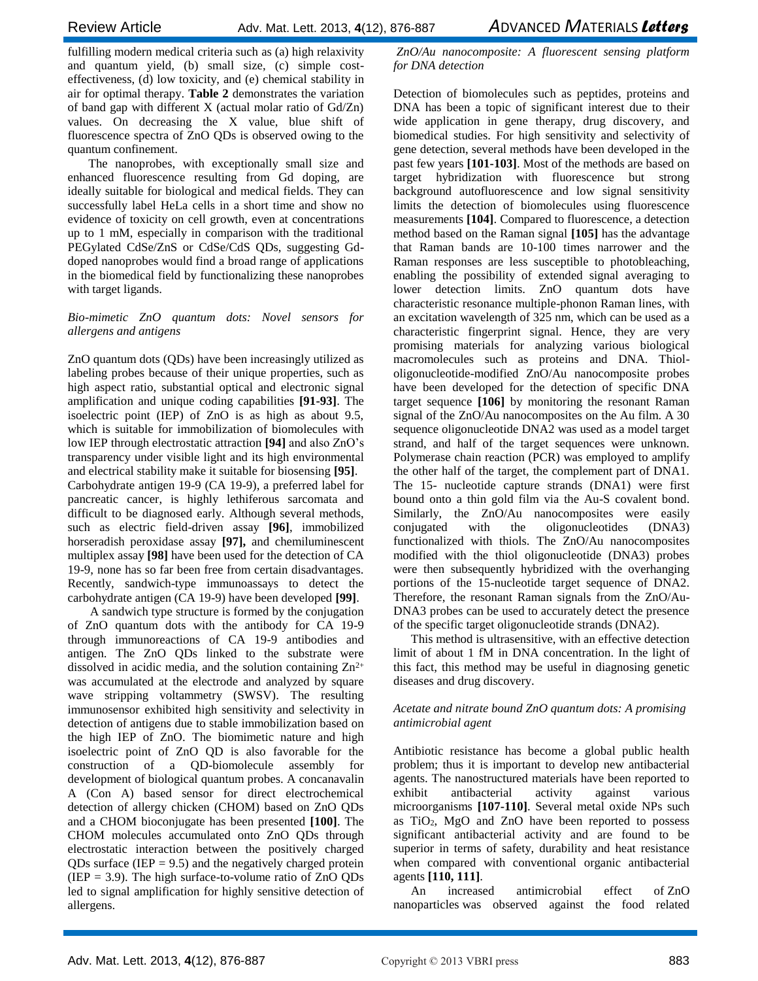fulfilling modern medical criteria such as (a) high relaxivity and quantum yield, (b) small size, (c) simple costeffectiveness, (d) low toxicity, and (e) chemical stability in air for optimal therapy. **Table 2** demonstrates the variation of band gap with different X (actual molar ratio of Gd/Zn) values. On decreasing the X value, blue shift of fluorescence spectra of ZnO QDs is observed owing to the quantum confinement.

The nanoprobes, with exceptionally small size and enhanced fluorescence resulting from Gd doping, are ideally suitable for biological and medical fields. They can successfully label HeLa cells in a short time and show no evidence of toxicity on cell growth, even at concentrations up to 1 mM, especially in comparison with the traditional PEGylated CdSe/ZnS or CdSe/CdS QDs, suggesting Gddoped nanoprobes would find a broad range of applications in the biomedical field by functionalizing these nanoprobes with target ligands.

#### *Bio-mimetic ZnO quantum dots: Novel sensors for allergens and antigens*

ZnO quantum dots (QDs) have been increasingly utilized as labeling probes because of their unique properties, such as high aspect ratio, substantial optical and electronic signal amplification and unique coding capabilities **[91-93]**. The isoelectric point (IEP) of ZnO is as high as about 9.5, which is suitable for immobilization of biomolecules with low IEP through electrostatic attraction **[94]** and also ZnO's transparency under visible light and its high environmental and electrical stability make it suitable for biosensing **[95]**. Carbohydrate antigen 19-9 (CA 19-9), a preferred label for pancreatic cancer, is highly lethiferous sarcomata and difficult to be diagnosed early. Although several methods, such as electric field-driven assay **[96]**, immobilized horseradish peroxidase assay **[97],** and chemiluminescent multiplex assay **[98]** have been used for the detection of CA 19-9, none has so far been free from certain disadvantages. Recently, sandwich-type immunoassays to detect the carbohydrate antigen (CA 19-9) have been developed **[99]**.

A sandwich type structure is formed by the conjugation of ZnO quantum dots with the antibody for CA 19-9 through immunoreactions of CA 19-9 antibodies and antigen. The ZnO QDs linked to the substrate were dissolved in acidic media, and the solution containing  $\mathbb{Z}n^{2+}$ was accumulated at the electrode and analyzed by square wave stripping voltammetry (SWSV). The resulting immunosensor exhibited high sensitivity and selectivity in detection of antigens due to stable immobilization based on the high IEP of ZnO. The biomimetic nature and high isoelectric point of ZnO QD is also favorable for the construction of a QD-biomolecule assembly for development of biological quantum probes. A concanavalin A (Con A) based sensor for direct electrochemical detection of allergy chicken (CHOM) based on ZnO QDs and a CHOM bioconjugate has been presented **[100]**. The CHOM molecules accumulated onto ZnO QDs through electrostatic interaction between the positively charged QDs surface (IEP  $= 9.5$ ) and the negatively charged protein (IEP  $=$  3.9). The high surface-to-volume ratio of ZnO QDs led to signal amplification for highly sensitive detection of allergens.

*ZnO/Au nanocomposite: A fluorescent sensing platform for DNA detection*

Detection of biomolecules such as peptides, proteins and DNA has been a topic of significant interest due to their wide application in gene therapy, drug discovery, and biomedical studies. For high sensitivity and selectivity of gene detection, several methods have been developed in the past few years **[101-103]**. Most of the methods are based on target hybridization with fluorescence but strong background autofluorescence and low signal sensitivity limits the detection of biomolecules using fluorescence measurements **[104]**. Compared to fluorescence, a detection method based on the Raman signal **[105]** has the advantage that Raman bands are 10-100 times narrower and the Raman responses are less susceptible to photobleaching, enabling the possibility of extended signal averaging to lower detection limits. ZnO quantum dots have characteristic resonance multiple-phonon Raman lines, with an excitation wavelength of 325 nm, which can be used as a characteristic fingerprint signal. Hence, they are very promising materials for analyzing various biological macromolecules such as proteins and DNA. Thiololigonucleotide-modified ZnO/Au nanocomposite probes have been developed for the detection of specific DNA target sequence **[106]** by monitoring the resonant Raman signal of the ZnO/Au nanocomposites on the Au film. A 30 sequence oligonucleotide DNA2 was used as a model target strand, and half of the target sequences were unknown. Polymerase chain reaction (PCR) was employed to amplify the other half of the target, the complement part of DNA1. The 15- nucleotide capture strands (DNA1) were first bound onto a thin gold film via the Au-S covalent bond. Similarly, the ZnO/Au nanocomposites were easily conjugated with the oligonucleotides (DNA3) functionalized with thiols. The ZnO/Au nanocomposites modified with the thiol oligonucleotide (DNA3) probes were then subsequently hybridized with the overhanging portions of the 15-nucleotide target sequence of DNA2. Therefore, the resonant Raman signals from the ZnO/Au-DNA3 probes can be used to accurately detect the presence of the specific target oligonucleotide strands (DNA2).

This method is ultrasensitive, with an effective detection limit of about 1 fM in DNA concentration. In the light of this fact, this method may be useful in diagnosing genetic diseases and drug discovery.

#### *Acetate and nitrate bound ZnO quantum dots: A promising antimicrobial agent*

Antibiotic resistance has become a global public health problem; thus it is important to develop new antibacterial agents. The nanostructured materials have been reported to exhibit antibacterial activity against various microorganisms **[107-110]**. Several metal oxide NPs such as  $TiO<sub>2</sub>$ , MgO and  $ZnO$  have been reported to possess significant antibacterial activity and are found to be superior in terms of safety, durability and heat resistance when compared with conventional organic antibacterial agents **[110, 111]**.

An increased antimicrobial effect of ZnO nanoparticles was observed against the food related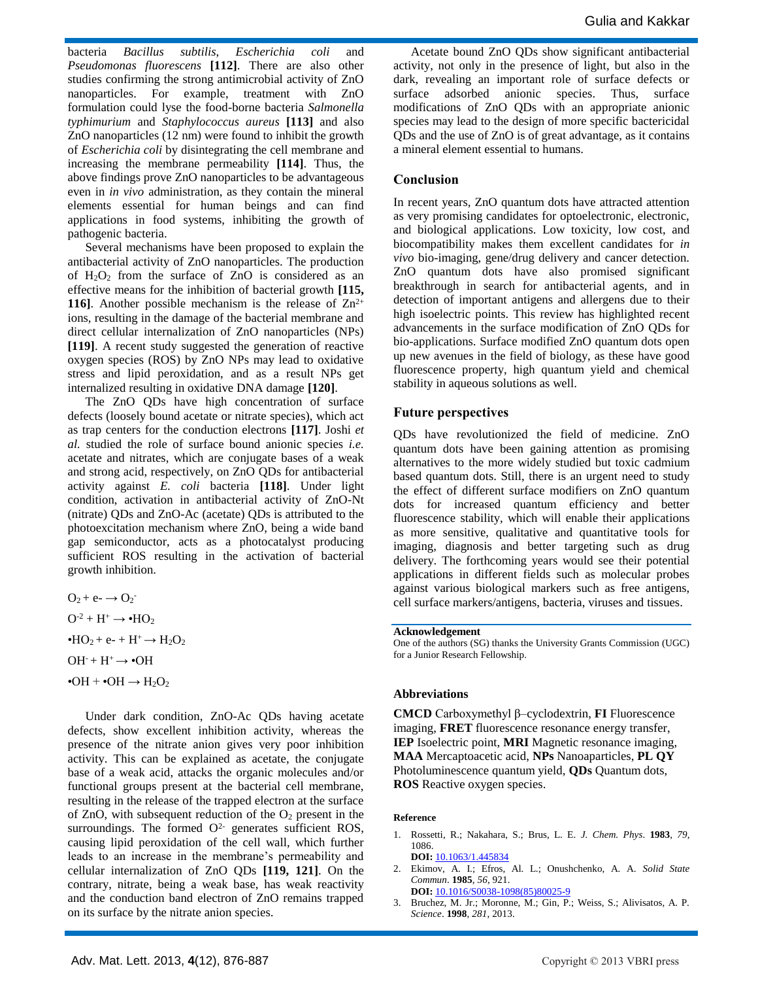bacteria *Bacillus subtilis*, *Escherichia coli* and *Pseudomonas fluorescens* **[112]**. There are also other studies confirming the strong antimicrobial activity of ZnO nanoparticles. For example, treatment with ZnO formulation could lyse the food-borne bacteria *Salmonella typhimurium* and *Staphylococcus aureus* **[113]** and also ZnO nanoparticles (12 nm) were found to inhibit the growth of *Escherichia coli* by disintegrating the cell membrane and increasing the membrane permeability **[114]**. Thus, the above findings prove ZnO nanoparticles to be advantageous even in *in vivo* administration, as they contain the mineral elements essential for human beings and can find applications in food systems, inhibiting the growth of pathogenic bacteria.

Several mechanisms have been proposed to explain the antibacterial activity of ZnO nanoparticles. The production of  $H_2O_2$  from the surface of ZnO is considered as an effective means for the inhibition of bacterial growth **[115, 116**]. Another possible mechanism is the release of  $\text{Zn}^{2+}$ ions, resulting in the damage of the bacterial membrane and direct cellular internalization of ZnO nanoparticles (NPs) **[119]**. A recent study suggested the generation of reactive oxygen species (ROS) by ZnO NPs may lead to oxidative stress and lipid peroxidation, and as a result NPs get internalized resulting in oxidative DNA damage **[120]**.

The ZnO QDs have high concentration of surface defects (loosely bound acetate or nitrate species), which act as trap centers for the conduction electrons **[117]**. Joshi *et al.* studied the role of surface bound anionic species *i.e.* acetate and nitrates, which are conjugate bases of a weak and strong acid, respectively, on ZnO QDs for antibacterial activity against *E. coli* bacteria **[118]**. Under light condition, activation in antibacterial activity of ZnO-Nt (nitrate) QDs and ZnO-Ac (acetate) QDs is attributed to the photoexcitation mechanism where ZnO, being a wide band gap semiconductor, acts as a photocatalyst producing sufficient ROS resulting in the activation of bacterial growth inhibition.

 $O_2 + e^- \rightarrow O_2^ O^{-2} + H^+ \rightarrow \bullet HO_2$ • $HO_2$  + e- +  $H^+$   $\rightarrow$   $H_2O_2$  $OH^- + H^+ \rightarrow \bullet OH$  $\bullet$ OH +  $\bullet$ OH  $\rightarrow$  H<sub>2</sub>O<sub>2</sub>

Under dark condition, ZnO-Ac QDs having acetate defects, show excellent inhibition activity, whereas the presence of the nitrate anion gives very poor inhibition activity. This can be explained as acetate, the conjugate base of a weak acid, attacks the organic molecules and/or functional groups present at the bacterial cell membrane, resulting in the release of the trapped electron at the surface of ZnO, with subsequent reduction of the  $O_2$  present in the surroundings. The formed  $O<sup>2</sup>$  generates sufficient ROS, causing lipid peroxidation of the cell wall, which further leads to an increase in the membrane's permeability and cellular internalization of ZnO QDs **[119, 121]**. On the contrary, nitrate, being a weak base, has weak reactivity and the conduction band electron of ZnO remains trapped on its surface by the nitrate anion species.

Acetate bound ZnO QDs show significant antibacterial activity, not only in the presence of light, but also in the dark, revealing an important role of surface defects or surface adsorbed anionic species. Thus, surface modifications of ZnO QDs with an appropriate anionic species may lead to the design of more specific bactericidal QDs and the use of ZnO is of great advantage, as it contains a mineral element essential to humans.

### **Conclusion**

In recent years, ZnO quantum dots have attracted attention as very promising candidates for optoelectronic, electronic, and biological applications. Low toxicity, low cost, and biocompatibility makes them excellent candidates for *in vivo* bio-imaging, gene/drug delivery and cancer detection. ZnO quantum dots have also promised significant breakthrough in search for antibacterial agents, and in detection of important antigens and allergens due to their high isoelectric points. This review has highlighted recent advancements in the surface modification of ZnO QDs for bio-applications. Surface modified ZnO quantum dots open up new avenues in the field of biology, as these have good fluorescence property, high quantum yield and chemical stability in aqueous solutions as well.

#### **Future perspectives**

QDs have revolutionized the field of medicine. ZnO quantum dots have been gaining attention as promising alternatives to the more widely studied but toxic cadmium based quantum dots. Still, there is an urgent need to study the effect of different surface modifiers on ZnO quantum dots for increased quantum efficiency and better fluorescence stability, which will enable their applications as more sensitive, qualitative and quantitative tools for imaging, diagnosis and better targeting such as drug delivery. The forthcoming years would see their potential applications in different fields such as molecular probes against various biological markers such as free antigens, cell surface markers/antigens, bacteria, viruses and tissues.

#### **Acknowledgement**

One of the authors (SG) thanks the University Grants Commission (UGC) for a Junior Research Fellowship.

#### **Abbreviations**

**CMCD** Carboxymethyl β–cyclodextrin, **FI** Fluorescence imaging, **FRET** fluorescence resonance energy transfer, **IEP** Isoelectric point, **MRI** Magnetic resonance imaging, **MAA** Mercaptoacetic acid, **NPs** Nanoaparticles, **PL QY** Photoluminescence quantum yield, **QDs** Quantum dots, **ROS** Reactive oxygen species.

#### **Reference**

- 1. Rossetti, R.; Nakahara, S.; Brus, L. E. *J. Chem. Phys*. **1983**, *79*, 1086. **DOI:** 10.1063/1.445834
- 2. Ekimov, A. I.; Efros, Al. L.; Onushchenko, A. A. *Solid State Commun*. **1985**, *56*, 921. **DOI:** [10.1016/S0038-1098\(85\)80025-9](http://adsabs.harvard.edu/cgi-bin/nph-abs_connect?fforward=http://dx.doi.org/10.1016/S0038-1098(85)80025-9)
- 3. Bruchez, M. Jr.; Moronne, M.; Gin, P.; Weiss, S.; Alivisatos, A. P. *Science*. **1998**, *281*, 2013.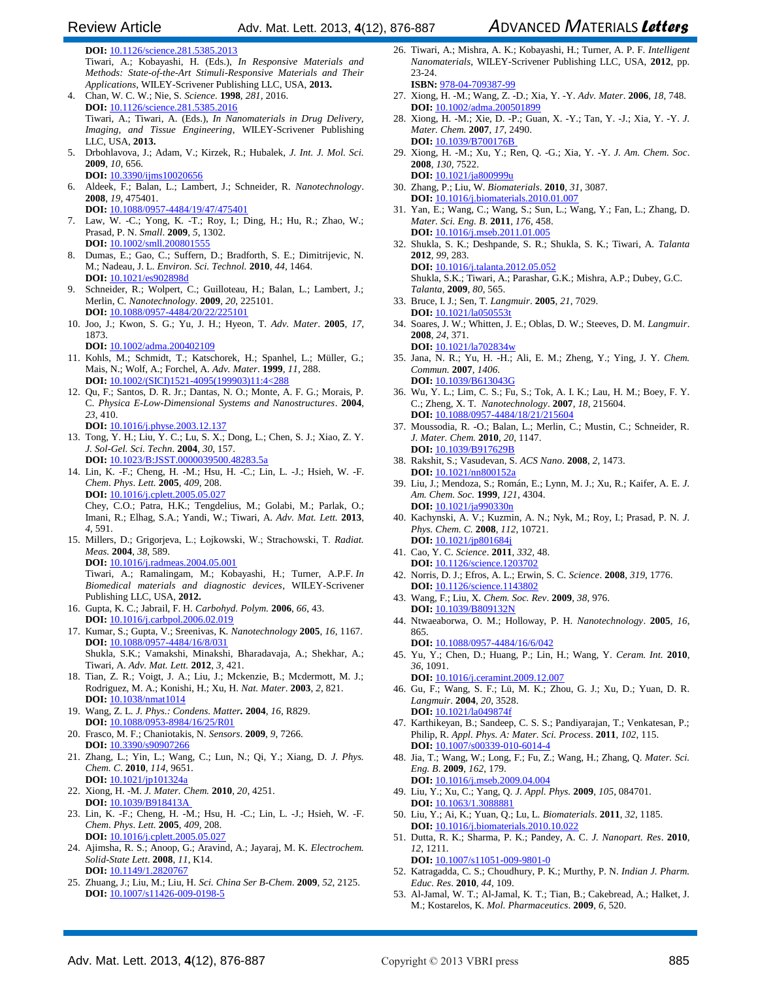**DOI:** 10.1126/science.281.5385.2013

Tiwari, A.; Kobayashi, H. (Eds.), *In Responsive Materials and Methods: State-of-the-Art Stimuli-Responsive Materials and Their Applications*, WILEY-Scrivener Publishing LLC, USA, **2013.**

- 4. Chan, W. C. W.; Nie, S. *Science.* **1998**, *281,* 2016. **DOI:** 10.1126/science.281.5385.2016 Tiwari, A.; Tiwari, A. (Eds.), *In Nanomaterials in Drug Delivery, Imaging, and Tissue Engineering*, WILEY-Scrivener Publishing LLC, USA, **2013.**
- 5. Drbohlavova, J.; Adam, V.; Kirzek, R.; Hubalek, *J. Int. J. Mol. Sci.*  **2009**, *10,* 656.
- **DOI:** [10.3390/ijms10020656](http://www.mdpi.com/1422-0067/10/2/656)
- 6. Aldeek, F.; Balan, L.; Lambert, J.; Schneider, R. *Nanotechnology*. **2008**, *19,* 475401. **DOI:** 10.1088/0957-4484/19/47/475401
- 7. Law, W. -C.; Yong, K. -T.; Roy, I.; Ding, H.; Hu, R.; Zhao, W.; Prasad, P. N. *Small*. **2009**, *5*, 1302. **DOI:** [10.1002/smll.200801555](http://onlinelibrary.wiley.com/doi/10.1002/smll.200801555/abstract)
- 8. Dumas, E.; Gao, C.; Suffern, D.; Bradforth, S. E.; Dimitrijevic, N. M.; Nadeau, J. L. *Environ. Sci. Technol.* **2010**, *44*, 1464. **DOI:** [10.1021/es902898d](http://pubs.acs.org/doi/abs/10.1021/es902898d)
- 9. Schneider, R.; Wolpert, C.; Guilloteau, H.; Balan, L.; Lambert, J.; Merlin, C. *Nanotechnology*. **2009**, *20*, 225101. **DOI:** [10.1088/0957-4484/20/22/225101](http://iopscience.iop.org/0957-4484/20/22/225101)
- 10. Joo, J.; Kwon, S. G.; Yu, J. H.; Hyeon, T. *Adv. Mater*. **2005**, *17*, 1873.
	- **DOI:** 10.1002/adma.200402109
- 11. Kohls, M.; Schmidt, T.; Katschorek, H.; Spanhel, L.; Müller, G.; Mais, N.; Wolf, A.; Forchel, A. *Adv. Mater*. **1999**, *11*, 288. **DOI:** 10.1002/(SICI)1521-4095(199903)11:4<288
- 12. Qu, F.; Santos, D. R. Jr.; Dantas, N. O.; Monte, A. F. G.; Morais, P. C. *Physica E-Low-Dimensional Systems and Nanostructures*. **2004**, *23*, 410.
- **DOI:** 10.1016/j.physe.2003.12.137 13. Tong, Y. H.; Liu, Y. C.; Lu, S. X.; Dong, L.; Chen, S. J.; Xiao, Z. Y. *J. Sol-Gel. Sci. Techn*. **2004**, *30*, 157.
- **DOI:** [10.1023/B:JSST.0000039500.48283.5a](http://link.springer.com/article/10.1023%2FB%3AJSST.0000039500.48283.5a) 14. Lin, K. -F.; Cheng, H. -M.; Hsu, H. -C.; Lin, L. -J.; Hsieh, W. -F. *Chem*. *Phys*. *Lett.* **2005**, *409*, 208. **DOI:** 10.1016/j.cplett.2005.05.027
- Chey, C.O.; Patra, H.K.; Tengdelius, M.; Golabi, M.; Parlak, O.; Imani, R.; Elhag, S.A.; Yandi, W.; Tiwari, A. *Adv. Mat. Lett.* **2013**, *4*, 591.
- 15. Millers, D.; Grigorjeva, L.; Łojkowski, W.; Strachowski, T. *Radiat. Meas.* **2004**, *38*, 589. **DOI:** [10.1016/j.radmeas.2004.05.001](http://pubget.com/paper/pgtmp_e23afc5c3701634b6e556db17d25981d/Luminescence_of_ZnO_nanopowders)

Tiwari, A.; Ramalingam, M.; Kobayashi, H.; Turner, A.P.F. *In [Biomedical materials and diagnostic devices](http://books.google.com/books?hl=en&lr=&id=bqmZd6_McQ8C&oi=fnd&pg=PR3&dq=info:wJKjfo734XYJ:scholar.google.com&ots=CtZ14EmkWw&sig=TaQ6iB-5BayVBGIO48tjP1aw89c)*, WILEY-Scrivener Publishing LLC, USA, **2012.**

- 16. Gupta, K. C.; Jabrail, F. H. *Carbohyd. Polym.* **2006**, *66*, 43. **DOI:** 10.1016/j.carbpol.2006.02.019
- 17. Kumar, S.; Gupta, V.; Sreenivas, K. *Nanotechnology* **2005**, *16*, 1167. **DOI:** 10.1088/0957-4484/16/8/031 Shukla, S.K.; Vamakshi, Minakshi, Bharadavaja, A.; Shekhar, A.; Tiwari, A. *Adv. Mat. Lett.* **2012**, *3*, 421.
- 18. Tian, Z. R.; Voigt, J. A.; Liu, J.; Mckenzie, B.; Mcdermott, M. J.; Rodriguez, M. A.; Konishi, H.; Xu, H. *Nat. Mater*. **2003**, *2*, 821. **DOI:** [10.1038/nmat1014](http://www.nature.com/nmat/journal/v2/n12/abs/nmat1014.html)
- 19. Wang, Z. L. *J. Phys.: Condens. Matter.* **2004**, *16*, R829. **DOI:** [10.1088/0953-8984/16/25/R01](http://iopscience.iop.org/0953-8984/16/25/R01)
- 20. Frasco, M. F.; Chaniotakis, N. *Sensors*. **2009**, *9*, 7266. **DOI:** [10.3390/s90907266](http://www.mdpi.com/1424-8220/9/9)
- 21. Zhang, L.; Yin, L.; Wang, C.; Lun, N.; Qi, Y.; Xiang, D. *J. Phys. Chem. C*. **2010**, *114*, 9651. **DOI:** [10.1021/jp101324a](http://pubs.acs.org/doi/abs/10.1021/jp101324a)
- 22. Xiong, H. -M. *J. Mater. Chem.* **2010**, *20*, 4251. **DOI:** [10.1039/B918413A](http://pubs.rsc.org/en/content/articlelanding/2010/JM/b918413a)
- 23. Lin, K. -F.; Cheng, H. -M.; Hsu, H. -C.; Lin, L. -J.; Hsieh, W. -F. *Chem*. *Phys*. *Lett.* **2005**, *409*, 208. **DOI:** 10.1016/j.cplett.2005.05.027
- 24. Ajimsha, R. S.; Anoop, G.; Aravind, A.; Jayaraj, M. K. *Electrochem. Solid-State Lett*. **2008**, *11*, K14. **DOI:** 10.1149/1.2820767
- 25. Zhuang, J.; Liu, M.; Liu, H. *Sci. China Ser B-Chem*. **2009**, *52*, 2125. **DOI:** [10.1007/s11426-009-0198-5](http://link.springer.com/article/10.1007%2Fs11426-009-0198-5?LI=true)
- 26. Tiwari, A.; Mishra, A. K.; Kobayashi, H.; Turner, A. P. F. *Intelligent Nanomaterials*, WILEY-Scrivener Publishing LLC, USA, **2012**, pp. 23-24. **ISBN:** 978-04-709387-99
- 27. Xiong, H. -M.; Wang, Z. -D.; Xia, Y. -Y. *Adv. Mater*. **2006**, *18*, 748. **DOI:** [10.1002/adma.200501899](http://onlinelibrary.wiley.com/doi/10.1002/adma.200501899/abstract)
- 28. Xiong, H. -M.; Xie, D. -P.; Guan, X. -Y.; Tan, Y. -J.; Xia, Y. -Y. *J. Mater. Chem.* **2007**, *17*, 2490. **DOI:** [10.1039/B700176B](http://pubs.rsc.org/en/Content/ArticleLanding/2007/JM/b700176b)
- 29. Xiong, H. -M.; Xu, Y.; Ren, Q. -G.; Xia, Y. -Y. *J. Am. Chem. Soc*. **2008**, *130*, 7522. **DOI:** [10.1021/ja800999u](http://pubs.acs.org/doi/abs/10.1021/ja800999u)
- 30. Zhang, P.; Liu, W. *Biomaterials*. **2010**, *31*, 3087. **DOI:** [10.1016/j.biomaterials.2010.01.007](http://www.sciencedirect.com/science/article/pii/S0142961210000086)
- 31. Yan, E.; Wang, C.; Wang, S.; Sun, L.; Wang, Y.; Fan, L.; Zhang, D. *Mater. Sci. Eng. B*. **2011**, *176*, 458. **DOI:** [10.1016/j.mseb.2011.01.005](http://www.sciencedirect.com/science/article/pii/S0921510711000213)
- 32. Shukla, S. K.; Deshpande, S. R.; Shukla, S. K.; Tiwari, A. *Talanta*  **2012**, *99*, 283. **DOI:** 10.1016/j.talanta.2012.05.052 Shukla, S.K.; Tiwari, A.; Parashar, G.K.; Mishra, A.P.; Dubey, G.C. *Talanta*, **2009**, *80*, 565.
- 33. Bruce, I. J.; Sen, T. *Langmuir*. **2005**, *21*, 7029. **DOI:** 10.1021/la050553
- 34. Soares, J. W.; Whitten, J. E.; Oblas, D. W.; Steeves, D. M. *Langmuir*. **2008**, *24*, 371. **DOI:** [10.1021/la702834w](http://pubs.acs.org/doi/abs/10.1021/la702834w)
- 35. Jana, N. R.; Yu, H. -H.; Ali, E. M.; Zheng, Y.; Ying, J. Y. *Chem. Commun.* **2007**, *1406*. **DOI:** 10.1039/B613043G
- 36. Wu, Y. L.; Lim, C. S.; Fu, S.; Tok, A. I. K.; Lau, H. M.; Boey, F. Y. C.; Zheng, X. T. *Nanotechnology*. **2007**, *18*, 215604. **DOI:** [10.1088/0957-4484/18/21/215604](http://iopscience.iop.org/0957-4484/18/21/215604)
- 37. Moussodia, R. -O.; Balan, L.; Merlin, C.; Mustin, C.; Schneider, R. *J. Mater. Chem.* **2010**, *20*, 1147. **DOI:** 10.1039/B917629B
- 38. Rakshit, S.; Vasudevan, S. *ACS Nano*. **2008**, *2*, 1473. **DOI:** 10.1021/nn800152a
- 39. Liu, J.; Mendoza, S.; Román, E.; Lynn, M. J.; Xu, R.; Kaifer, A. E. *J. Am. Chem. Soc.* **1999**, *121*, 4304. **DOI:** 10.1021/ja990330n
- 40. Kachynski, A. V.; Kuzmin, A. N.; Nyk, M.; Roy, I.; Prasad, P. N. *J. Phys. Chem. C.* **2008**, *112*, 10721. **DOI:** 10.1021/jp801684j
- 41. Cao, Y. C. *Science*. **2011**, *332,* 48. **DOI:** 10.1126/science.1203702
- 42. Norris, D. J.; Efros, A. L.; Erwin, S. C. *Science*. **2008**, *319*, 1776. **DOI:** 10.1126/science.1143802
- 43. Wang, F.; Liu, X. *Chem. Soc. Rev*. **2009**, *38*, 976. **DOI:** [10.1039/B809132N](http://pubs.rsc.org/en/content/articlehtml/2009/cs/b809132n)
- 44. Ntwaeaborwa, O. M.; Holloway, P. H. *Nanotechnology*. **2005**, *16*, 865. **DOI:** 10.1088/0957-4484/16/6/042
- 45. Yu, Y.; Chen, D.; Huang, P.; Lin, H.; Wang, Y. *Ceram. Int.* **2010**, *36*, 1091. **DOI:** [10.1016/j.ceramint.2009.12.007](http://www.sciencedirect.com/science/article/pii/S0272884209004672)
- 46. Gu, F.; Wang, S. F.; Lü, M. K.; Zhou, G. J.; Xu, D.; Yuan, D. R. *Langmuir*. **2004**, *20*, 3528. **DOI:** 10.1021/la049874f
- 47. Karthikeyan, B.; Sandeep, C. S. S.; Pandiyarajan, T.; Venkatesan, P.; Philip, R. *Appl. Phys. A: Mater. Sci. Process*. **2011**, *102*, 115. **DOI:** 10.1007/s00339-010-6014-4
- 48. Jia, T.; Wang, W.; Long, F.; Fu, Z.; Wang, H.; Zhang, Q. *Mater. Sci. Eng. B*. **2009**, *162*, 179.
- **DOI:** 10.1016/j.mseb.2009.04.004 49. Liu, Y.; Xu, C.; Yang, Q. *J. Appl. Phys.* **2009**, *105*, 084701. **DOI:** 10.1063/1.308888
- 50. Liu, Y.; Ai, K.; Yuan, Q.; Lu, L. *Biomaterials*. **2011**, *32*, 1185. **DOI:** 10.1016/j.biomaterials.2010.10.022
- 51. Dutta, R. K.; Sharma, P. K.; Pandey, A. C. *J. Nanopart. Res*. **2010**, *12*, 1211.
- **DOI:** [10.1007/s11051-009-9801-0](http://link.springer.com/article/10.1007%2Fs11051-009-9801-0) 52. Katragadda, C. S.; Choudhury, P. K.; Murthy, P. N. *Indian J. Pharm. Educ. Res*. **2010**, *44*, 109.
- 53. Al-Jamal, W. T.; Al-Jamal, K. T.; Tian, B.; Cakebread, A.; Halket, J. M.; Kostarelos, K. *Mol. Pharmaceutics*. **2009**, *6*, 520.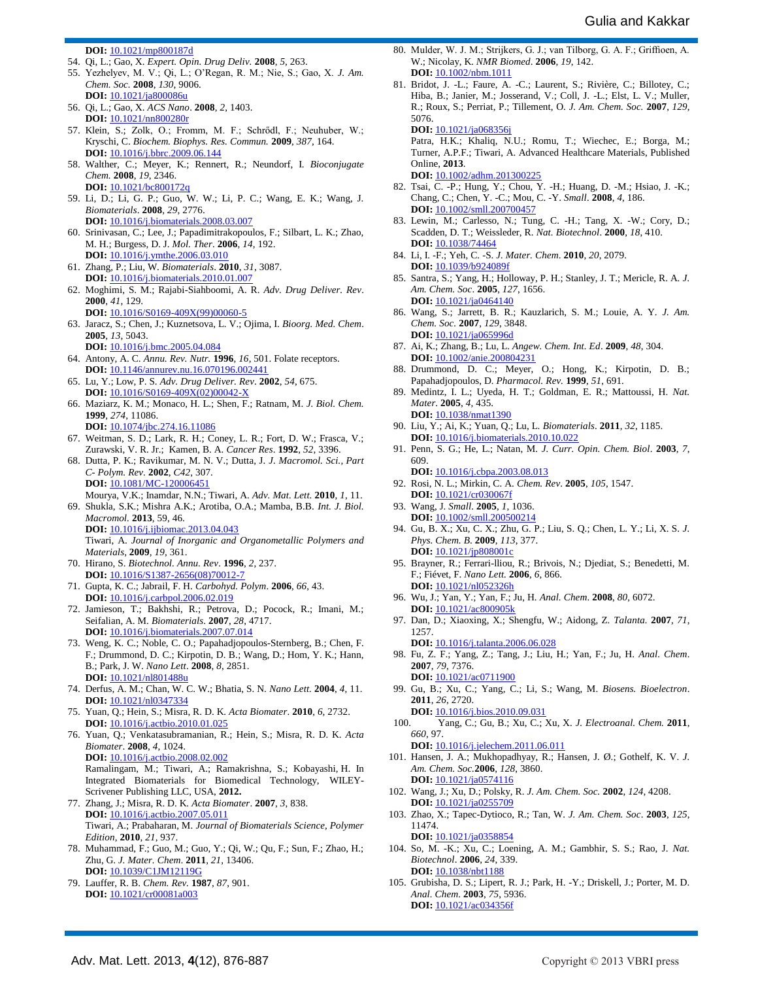**DOI:** 10.1021/mp800187d

- 54. Qi, L.; Gao, X. *Expert. Opin. Drug Deliv.* **2008**, *5*, 263.
- 55. Yezhelyev, M. V.; Qi, L.; O'Regan, R. M.; Nie, S.; Gao, X. *J. Am. Chem. Soc.* **2008**, *130*, 9006. **DOI:** [10.1021/ja800086u](http://pubs.acs.org/doi/abs/10.1021/ja800086u)
- 56. Qi, L.; Gao, X. *ACS Nano*. **2008**, *2*, 1403. **DOI:** 10.1021/nn800280r
- 57. Klein, S.; Zolk, O.; Fromm, M. F.; Schrődl, F.; Neuhuber, W.; Kryschi, C. *Biochem. Biophys. Res. Commun.* **2009**, *387*, 164. **DOI:** 10.1016/j.bbrc.2009.06.144
- 58. Walther, C.; Meyer, K.; Rennert, R.; Neundorf, I. *Bioconjugate Chem.* **2008**, *19*, 2346. **DOI:** [10.1021/bc800172q](http://pubs.acs.org/doi/abs/10.1021/bc800172q)
- 59. Li, D.; Li, G. P.; Guo, W. W.; Li, P. C.; Wang, E. K.; Wang, J. *Biomaterials*. **2008**, *29*, 2776.
- **DOI:** [10.1016/j.biomaterials.2008.03.007](http://www.ncbi.nlm.nih.gov/pubmed/18377981) 60. Srinivasan, C.; Lee, J.; Papadimitrakopoulos, F.; Silbart, L. K.; Zhao, M. H.; Burgess, D. J. *Mol. Ther*. **2006**, *14*, 192.
- **DOI:** [10.1016/j.ymthe.2006.03.010](http://www.nature.com/mt/journal/v14/n2/abs/mt20061286a.html) 61. Zhang, P.; Liu, W. *Biomaterials*. **2010**, *31*, 3087. **DOI:** [10.1016/j.biomaterials.2010.01.007](http://www.sciencedirect.com/science/article/pii/S0142961210000086)
- 62. Moghimi, S. M.; Rajabi-Siahboomi, A. R. *Adv. Drug Deliver. Rev*. **2000**, *41*, 129. **DOI:** 10.1016/S0169-409X(99)00060-5
- 63. Jaracz, S.; Chen, J.; Kuznetsova, L. V.; Ojima, I. *Bioorg. Med. Chem*. **2005**, *13*, 5043.
- **DOI:** 10.1016/j.bmc.2005.04.084 64. Antony, A. C. *Annu. Rev. Nutr.* **1996**, *16*, 501. Folate receptors. **DOI:** 10.1146/annurev.nu.16.070196.002441
- 65. Lu, Y.; Low, P. S. *Adv. Drug Deliver. Rev*. **2002**, *54*, 675. **DOI:** 10.1016/S0169-409X(02)00042-X
- 66. Maziarz, K. M.; Monaco, H. L.; Shen, F.; Ratnam, M. *J. Biol. Chem.* **1999**, *274*, 11086.
- **DOI:** [10.1074/jbc.274.16.11086](http://www.jbc.org/content/274/16/11086.abstract) 67. Weitman, S. D.; Lark, R. H.; Coney, L. R.; Fort, D. W.; Frasca, V.;
- Zurawski, V. R. Jr.; Kamen, B. A. *Cancer Res*. **1992**, *52*, 3396. 68. Dutta, P. K.; Ravikumar, M. N. V.; Dutta, J. *J. Macromol. Sci., Part C- Polym. Rev.* **2002**, *C42*, 307. **DOI:** 10.1081/MC-120006451
- Mourya, V.K.; Inamdar, N.N.; Tiwari, A. *Adv. Mat. Lett.* **2010**, *1*, 11. 69. Shukla, S.K.; Mishra A.K.; Arotiba, O.A.; Mamba, B.B. *Int. J. Biol. Macromol.* **2013**, 59, 46.
- **DOI:** 10.1016/j.ijbiomac.2013.04.043 Tiwari, A. *Journal of Inorganic and Organometallic Polymers and Materials*, **2009**, *19*, 361.
- 70. Hirano, S. *Biotechnol. Annu. Rev*. **1996**, *2*, 237. **DOI:** 10.1016/S1387-2656(08)70012-7
- 71. Gupta, K. C.; Jabrail, F. H. *Carbohyd. Polym*. **2006**, *66*, 43. **DOI:** [10.1016/j.carbpol.2006.02.019](http://europepmc.org/abstract/AGR/IND43853753)
- 72. Jamieson, T.; Bakhshi, R.; Petrova, D.; Pocock, R.; Imani, M.; Seifalian, A. M. *Biomaterials*. **2007**, *28*, 4717. **DOI:** 10.1016/j.biomaterials.2007.07.014
- 73. Weng, K. C.; Noble, C. O.; Papahadjopoulos-Sternberg, B.; Chen, F. F.; Drummond, D. C.; Kirpotin, D. B.; Wang, D.; Hom, Y. K.; Hann, B.; Park, J. W. *Nano Lett*. **2008**, *8*, 2851. **DOI:** 10.1021/nl801488
- 74. Derfus, A. M.; Chan, W. C. W.; Bhatia, S. N. *Nano Lett.* **2004**, *4*, 11. **DOI:** [10.1021/nl0347334](http://adsabs.harvard.edu/abs/2004NanoL...4...11D)
- 75. Yuan, Q.; Hein, S.; Misra, R. D. K. *Acta Biomater*. **2010**, *6*, 2732. **DOI:** [10.1016/j.actbio.2010.01.025](http://www.sciencedirect.com/science/article/pii/S174270611000036X)
- 76. Yuan, Q.; Venkatasubramanian, R.; Hein, S.; Misra, R. D. K. *Acta Biomater*. **2008**, *4*, 1024. **DOI:** [10.1016/j.actbio.2008.02.002](http://www.sciencedirect.com/science/article/pii/S1742706108000433)
	- Ramalingam, M.; Tiwari, A.; Ramakrishna, S.; Kobayashi, H. In Integrated Biomaterials for Biomedical Technology, WILEY-Scrivener Publishing LLC, USA, **2012.**
- 77. Zhang, J.; Misra, R. D. K. *Acta Biomater*. **2007**, *3*, 838. **DOI:** [10.1016/j.actbio.2007.05.011](http://www.sciencedirect.com/science/article/pii/S1742706107000888) Tiwari, A.; Prabaharan, M. *Journal of Biomaterials Science, Polymer Edition*, **2010**, *21*, 937.
- 78. Muhammad, F.; Guo, M.; Guo, Y.; Qi, W.; Qu, F.; Sun, F.; Zhao, H.; Zhu, G. *J. Mater. Chem*. **2011**, *21*, 13406. **DOI:** 10.1039/C1JM12119G
- 79. Lauffer, R. B. *Chem. Rev.* **1987**, *87*, 901. **DOI:** 10.1021/cr00081a003
- 80. Mulder, W. J. M.; Strijkers, G. J.; van Tilborg, G. A. F.; Griffioen, A. W.; Nicolay, K. *NMR Biomed*. **2006**, *19*, 142. **DOI:** [10.1002/nbm.1011](http://onlinelibrary.wiley.com/doi/10.1002/nbm.1011/abstract)
- 81. Bridot, J. -L.; Faure, A. -C.; Laurent, S.; Rivière, C.; Billotey, C.; Hiba, B.; Janier, M.; Josserand, V.; Coll, J. -L.; Elst, L. V.; Muller, R.; Roux, S.; Perriat, P.; Tillement, O. *J. Am. Chem. Soc.* **2007**, *129*, 5076. **DOI:** 10.1021/ja068356j

Patra, H.K.; Khaliq, N.U.; Romu, T.; Wiechec, E.; Borga, M.; Turner, A.P.F.; Tiwari, A. Advanced Healthcare Materials, Published Online, **2013**. **DOI:** [10.1002/adhm.201300225](http://onlinelibrary.wiley.com/doi/10.1002/adhm.201300225/abstract;jsessionid=C31FAE6BC94234846887DE9BFC291D26.f01t02?deniedAccessCustomisedMessage=&userIsAuthenticated=false)

- 82. Tsai, C. -P.; Hung, Y.; Chou, Y. -H.; Huang, D. -M.; Hsiao, J. -K.; Chang, C.; Chen, Y. -C.; Mou, C. -Y. *Small*. **2008**, *4*, 186. **DOI:** [10.1002/smll.200700457](http://onlinelibrary.wiley.com/doi/10.1002/smll.200700457/abstract)
- 83. Lewin, M.; Carlesso, N.; Tung, C. -H.; Tang, X. -W.; Cory, D.; Scadden, D. T.; Weissleder, R. *Nat. Biotechnol*. **2000**, *18*, 410. **DOI:** 10.1038/74464
- 84. Li, I. -F.; Yeh, C. -S. *J. Mater. Chem*. **2010**, *20*, 2079. **DOI:** 10.1039/b924089f
- 85. Santra, S.; Yang, H.; Holloway, P. H.; Stanley, J. T.; Mericle, R. A. *J. Am. Chem. Soc*. **2005**, *127*, 1656. **DOI:** 10.1021/ja0464140
- 86. Wang, S.; Jarrett, B. R.; Kauzlarich, S. M.; Louie, A. Y. *J. Am. Chem. Soc.* **2007**, *129*, 3848. **DOI:** [10.1021/ja065996d](http://pubs.acs.org/doi/abs/10.1021/ja065996d)
- 87. Ai, K.; Zhang, B.; Lu, L. *Angew. Chem. Int. Ed*. **2009**, *48*, 304. **DOI:** 10.1002/anie.200804231
- 88. Drummond, D. C.; Meyer, O.; Hong, K.; Kirpotin, D. B.; Papahadjopoulos, D. *Pharmacol. Rev.* **1999**, *51*, 691.
- 89. Medintz, I. L.; Uyeda, H. T.; Goldman, E. R.; Mattoussi, H. *Nat. Mater*. **2005**, *4*, 435. **DOI:** 10.1038/nmat1390
- 90. Liu, Y.; Ai, K.; Yuan, Q.; Lu, L. *Biomaterials*. **2011**, *32*, 1185. **DOI:** 10.1016/j.biomaterials.2010.10.022
- 91. Penn, S. G.; He, L.; Natan, M. *J. Curr. Opin. Chem. Biol*. **2003**, *7*, 609.
- **DOI:** 10.1016/j.cbpa.2003.08.013 92. Rosi, N. L.; Mirkin, C. A. *Chem. Rev*. **2005**, *105*, 1547. **DOI:** 10.1021/cr030067
- 93. Wang, J. *Small*. **2005**, *1*, 1036. **DOI:** [10.1002/smll.200500214](http://onlinelibrary.wiley.com/doi/10.1002/smll.200500214/abstract)
- 94. Gu, B. X.; Xu, C. X.; Zhu, G. P.; Liu, S. Q.; Chen, L. Y.; Li, X. S. *J. Phys. Chem. B*. **2009**, *113*, 377. **DOI:** 10.1021/jp808001c
- 95. Brayner, R.; Ferrari-lliou, R.; Brivois, N.; Djediat, S.; Benedetti, M. F.; Fiévet, F. *Nano Lett.* **2006**, *6*, 866. **DOI:** 10.1021/nl052326h
- 96. Wu, J.; Yan, Y.; Yan, F.; Ju, H. *Anal. Chem*. **2008**, *80*, 6072. **DOI:** [10.1021/ac800905k](http://pubs.acs.org/doi/abs/10.1021/ac800905k)
- 97. Dan, D.; Xiaoxing, X.; Shengfu, W.; Aidong, Z. *Talanta.* **2007**, *71*, 1257.

**DOI:** 10.1016/j.talanta.2006.06.028

- 98. Fu, Z. F.; Yang, Z.; Tang, J.; Liu, H.; Yan, F.; Ju, H. *Anal. Chem*. **2007**, *79*, 7376. **DOI:** 10.1021/ac0711900
- 99. Gu, B.; Xu, C.; Yang, C.; Li, S.; Wang, M. *Biosens. Bioelectron*. **2011**, *26*, 2720.

**DOI:** [10.1016/j.bios.2010.09.031](http://www.sciencedirect.com/science/article/pii/S0956566310006457)

- 100. Yang, C.; Gu, B.; Xu, C.; Xu, X. *J. Electroanal. Chem.* **2011**, *660*, 97. **DOI:** [10.1016/j.jelechem.2011.06.011](http://pubget.com/paper/pgtmp_5b5ffd95ff7afaf71f229df177db303c/Self_assembled_ZnO_quantum_dot_bioconjugates_for_direct_electrochemical_determination_of_allergen)
- 101. Hansen, J. A.; Mukhopadhyay, R.; Hansen, J. Ø.; Gothelf, K. V. *J. Am. Chem. Soc.***2006**, *128*, 3860. **DOI:** 10.1021/ja0574116
- 102. Wang, J.; Xu, D.; Polsky, R. *J. Am. Chem. Soc.* **2002**, *124*, 4208. **DOI:** [10.1021/ja0255709](http://pubs.acs.org/doi/abs/10.1021/ja0255709)
- 103. Zhao, X.; Tapec-Dytioco, R.; Tan, W. *J. Am. Chem. Soc*. **2003**, *125*, 11474.
- **DOI:** [10.1021/ja0358854](http://pubs.acs.org/doi/abs/10.1021/ja0358854) 104. So, M. -K.; Xu, C.; Loening, A. M.; Gambhir, S. S.; Rao, J. *Nat. Biotechnol*. **2006**, *24*, 339. **DOI:** [10.1038/nbt1188](http://www.nature.com/nbt/journal/v24/n3/full/nbt1188.html)
- 105. Grubisha, D. S.; Lipert, R. J.; Park, H. -Y.; Driskell, J.; Porter, M. D. *Anal. Chem*. **2003**, *75*, 5936. **DOI:** [10.1021/ac034356f](http://pubs.acs.org/doi/abs/10.1021/ac034356f)